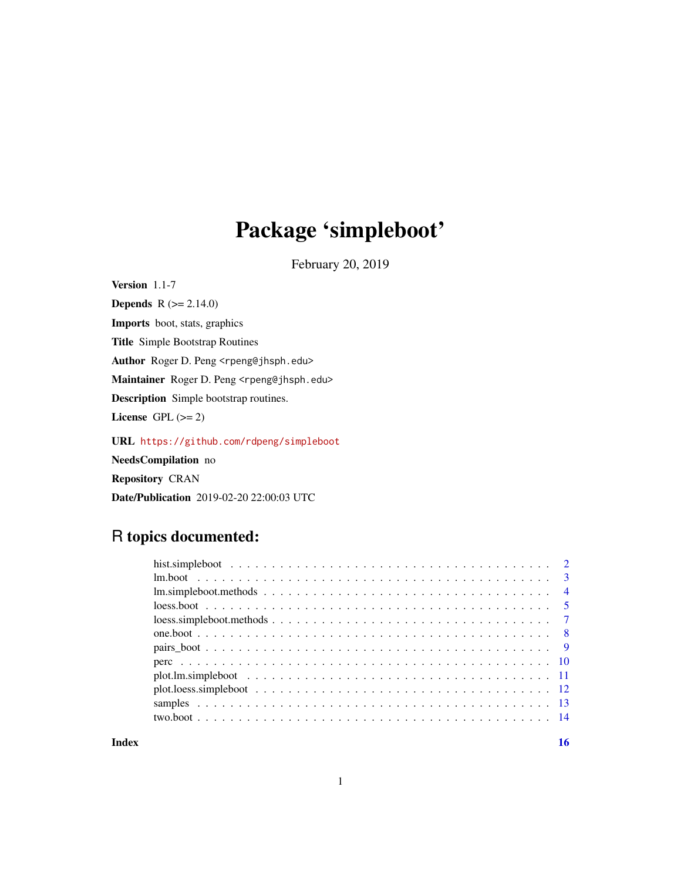# Package 'simpleboot'

February 20, 2019

Version 1.1-7

**Depends** R  $(>= 2.14.0)$ Imports boot, stats, graphics Title Simple Bootstrap Routines Author Roger D. Peng <rpeng@jhsph.edu> Maintainer Roger D. Peng <rpeng@jhsph.edu> Description Simple bootstrap routines. License GPL  $(>= 2)$ URL <https://github.com/rdpeng/simpleboot> NeedsCompilation no

Repository CRAN

Date/Publication 2019-02-20 22:00:03 UTC

# R topics documented:

| $\text{loess}.\text{simpleboot}.\text{methods}.\dots\dots\dots\dots\dots\dots\dots\dots\dots\dots\dots\dots\dots$ |  |  |
|-------------------------------------------------------------------------------------------------------------------|--|--|
|                                                                                                                   |  |  |
|                                                                                                                   |  |  |
|                                                                                                                   |  |  |
|                                                                                                                   |  |  |
|                                                                                                                   |  |  |
|                                                                                                                   |  |  |
|                                                                                                                   |  |  |
|                                                                                                                   |  |  |

#### **Index** and the contract of the contract of the contract of the contract of the contract of the contract of the contract of the contract of the contract of the contract of the contract of the contract of the contract of th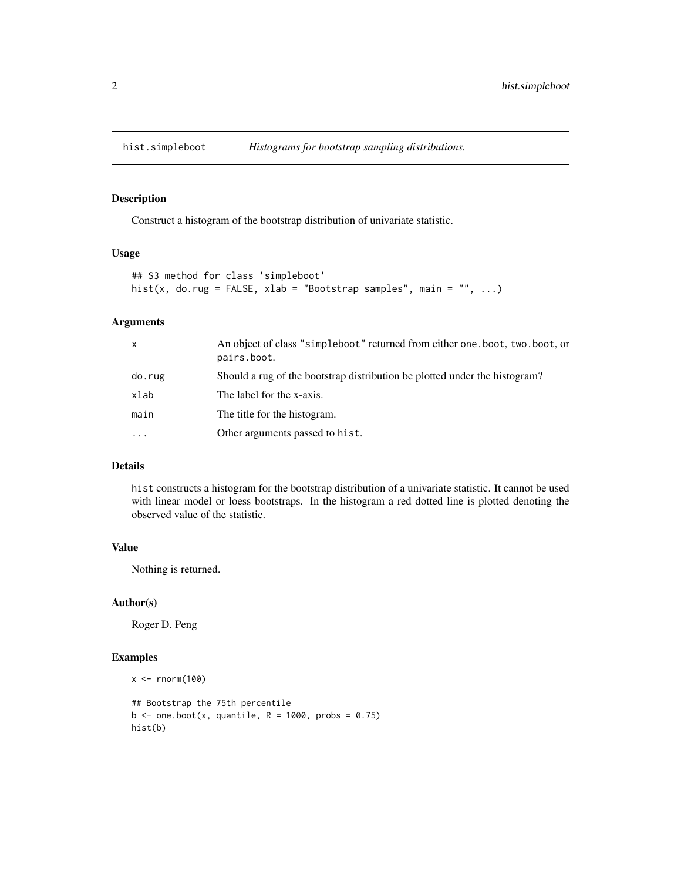<span id="page-1-0"></span>

Construct a histogram of the bootstrap distribution of univariate statistic.

#### Usage

```
## S3 method for class 'simpleboot'
hist(x, do.rug = FALSE, xlab = "Bootstrap samples", main = "", ...)
```
# Arguments

| $\mathsf{x}$ | An object of class "simpleboot" returned from either one boot, two boot, or<br>pairs.boot. |
|--------------|--------------------------------------------------------------------------------------------|
| do.rug       | Should a rug of the bootstrap distribution be plotted under the histogram?                 |
| xlab         | The label for the x-axis.                                                                  |
| main         | The title for the histogram.                                                               |
| $\ddotsc$    | Other arguments passed to hist.                                                            |

# Details

hist constructs a histogram for the bootstrap distribution of a univariate statistic. It cannot be used with linear model or loess bootstraps. In the histogram a red dotted line is plotted denoting the observed value of the statistic.

#### Value

Nothing is returned.

# Author(s)

Roger D. Peng

```
x < - rnorm(100)
## Bootstrap the 75th percentile
b \le - one.boot(x, quantile, R = 1000, probs = 0.75)
hist(b)
```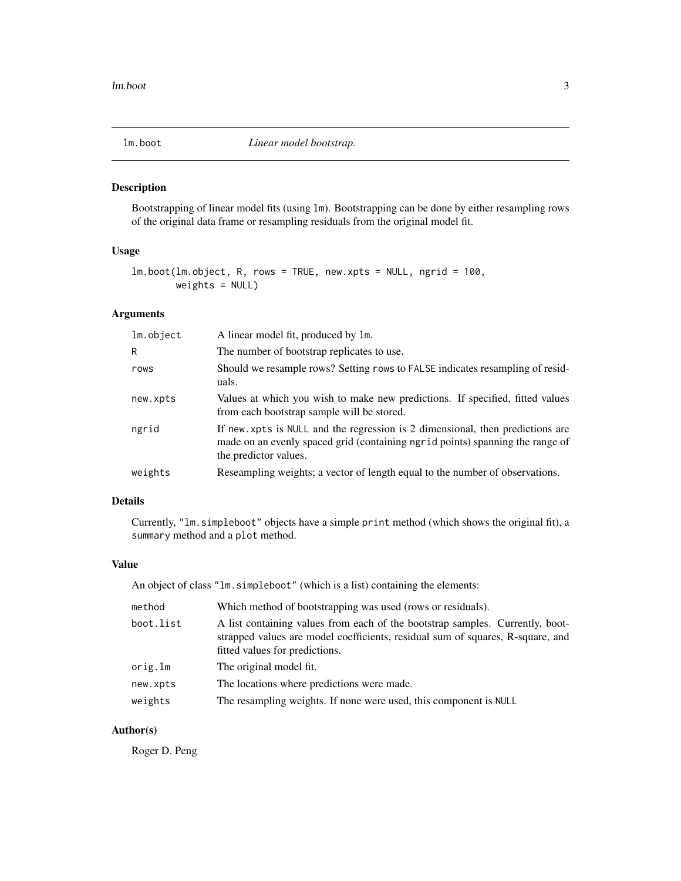<span id="page-2-0"></span>

Bootstrapping of linear model fits (using lm). Bootstrapping can be done by either resampling rows of the original data frame or resampling residuals from the original model fit.

# Usage

```
lm.boot(lm.object, R, rows = TRUE, new.xpts = NULL, ngrid = 100,
       weights = NULL)
```
#### Arguments

| lm.object | A linear model fit, produced by 1m.                                                                                                                                                     |
|-----------|-----------------------------------------------------------------------------------------------------------------------------------------------------------------------------------------|
| R         | The number of bootstrap replicates to use.                                                                                                                                              |
| rows      | Should we resample rows? Setting rows to FALSE indicates resampling of resid-<br>uals.                                                                                                  |
| new.xpts  | Values at which you wish to make new predictions. If specified, fitted values<br>from each bootstrap sample will be stored.                                                             |
| ngrid     | If new xpts is NULL and the regression is 2 dimensional, then predictions are<br>made on an evenly spaced grid (containing ngrid points) spanning the range of<br>the predictor values. |
| weights   | Reseampling weights; a vector of length equal to the number of observations.                                                                                                            |

# Details

Currently, "lm.simpleboot" objects have a simple print method (which shows the original fit), a summary method and a plot method.

# Value

An object of class "lm.simpleboot" (which is a list) containing the elements:

| method    | Which method of bootstrapping was used (rows or residuals).                                                                                                                                       |
|-----------|---------------------------------------------------------------------------------------------------------------------------------------------------------------------------------------------------|
| boot.list | A list containing values from each of the bootstrap samples. Currently, boot-<br>strapped values are model coefficients, residual sum of squares, R-square, and<br>fitted values for predictions. |
| orig.lm   | The original model fit.                                                                                                                                                                           |
| new.xpts  | The locations where predictions were made.                                                                                                                                                        |
| weights   | The resampling weights. If none were used, this component is NULL                                                                                                                                 |

# Author(s)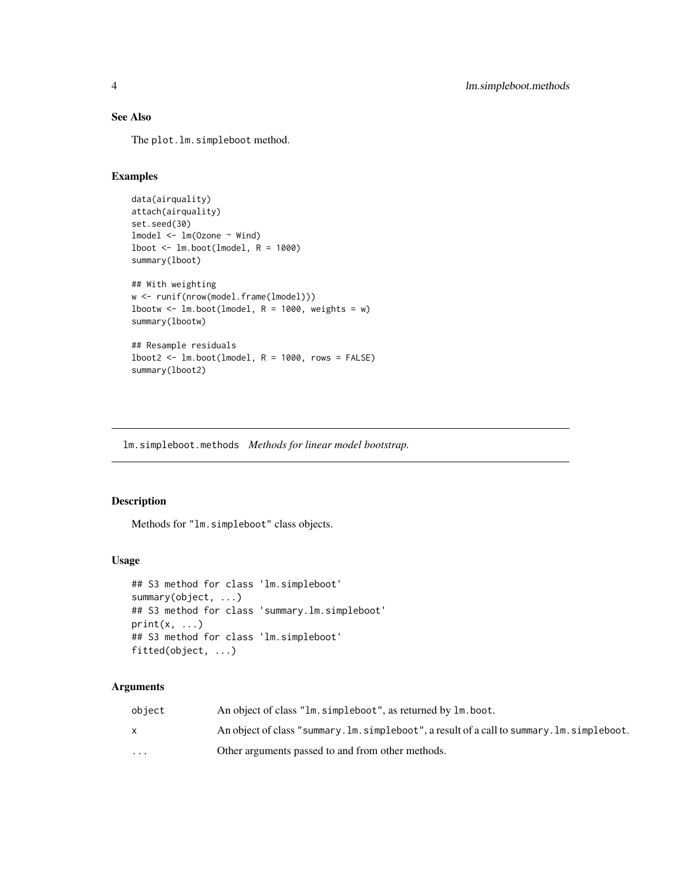# <span id="page-3-0"></span>See Also

The plot.lm.simpleboot method.

# Examples

```
data(airquality)
attach(airquality)
set.seed(30)
lmodel <- lm(Ozone ~ Wind)
1boot \leftarrow lm.boot(lmodel, R = 1000)summary(lboot)
## With weighting
w <- runif(nrow(model.frame(lmodel)))
lbootw \le 1m.boot(lmodel, R = 1000, weights = w)
summary(lbootw)
## Resample residuals
lboot2 \leftarrow lm.boot(lmodel, R = 1000, rows = FALSE)summary(lboot2)
```
lm.simpleboot.methods *Methods for linear model bootstrap.*

# Description

Methods for "lm.simpleboot" class objects.

#### Usage

```
## S3 method for class 'lm.simpleboot'
summary(object, ...)
## S3 method for class 'summary.lm.simpleboot'
print(x, \ldots)## S3 method for class 'lm.simpleboot'
fitted(object, ...)
```
#### Arguments

| object                  | An object of class "lm. simpleboot", as returned by lm. boot.                                |
|-------------------------|----------------------------------------------------------------------------------------------|
|                         | An object of class "summary. Im. simpleboot", a result of a call to summary. Im. simpleboot. |
| $\cdot$ $\cdot$ $\cdot$ | Other arguments passed to and from other methods.                                            |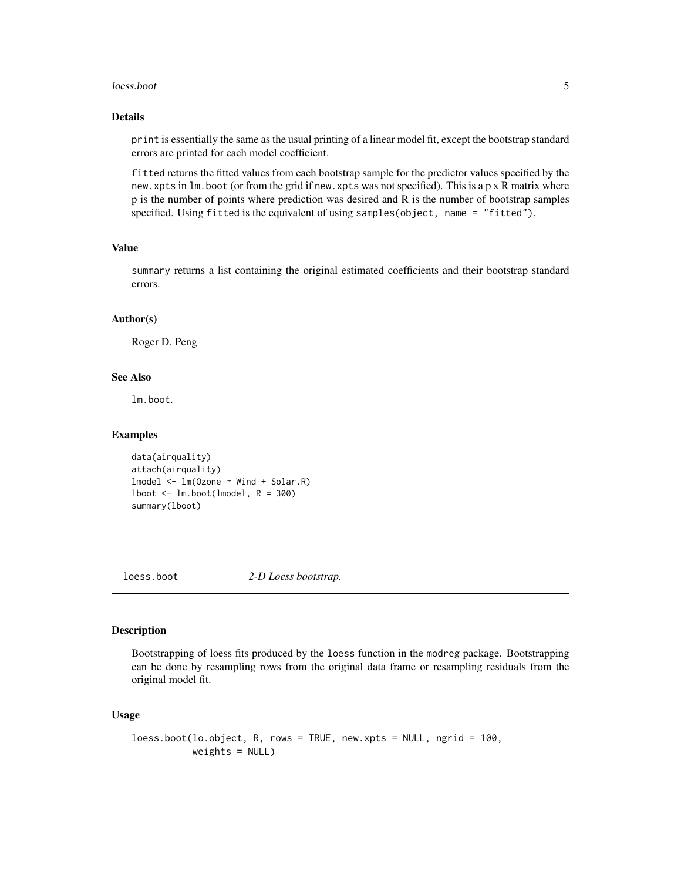#### <span id="page-4-0"></span>loess.boot 5

#### Details

print is essentially the same as the usual printing of a linear model fit, except the bootstrap standard errors are printed for each model coefficient.

fitted returns the fitted values from each bootstrap sample for the predictor values specified by the new.xpts in lm.boot (or from the grid if new.xpts was not specified). This is a p x R matrix where p is the number of points where prediction was desired and R is the number of bootstrap samples specified. Using fitted is the equivalent of using samples(object, name = "fitted").

# Value

summary returns a list containing the original estimated coefficients and their bootstrap standard errors.

#### Author(s)

Roger D. Peng

#### See Also

lm.boot.

# Examples

```
data(airquality)
attach(airquality)
lmodel <- lm(Ozone ~ Wind + Solar.R)
1boot \leftarrow Im.boot(Imodel, R = 300)summary(lboot)
```
loess.boot *2-D Loess bootstrap.*

# **Description**

Bootstrapping of loess fits produced by the loess function in the modreg package. Bootstrapping can be done by resampling rows from the original data frame or resampling residuals from the original model fit.

#### Usage

```
loess.boot(lo.object, R, rows = TRUE, new.xpts = NULL, ngrid = 100,
          weights = NULL)
```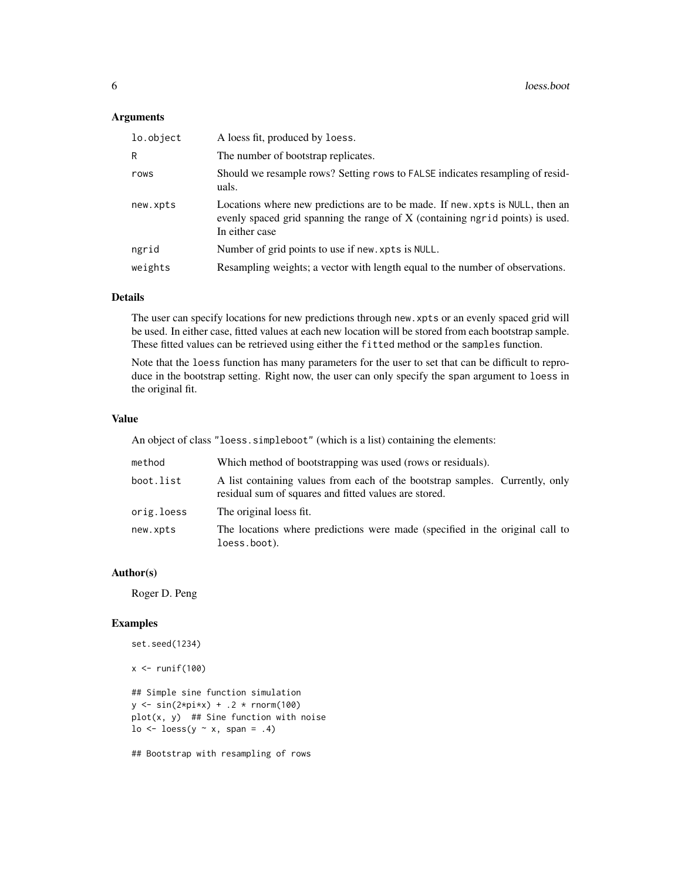# Arguments

| lo.object | A loess fit, produced by loess.                                                                                                                                                 |
|-----------|---------------------------------------------------------------------------------------------------------------------------------------------------------------------------------|
| R         | The number of bootstrap replicates.                                                                                                                                             |
| rows      | Should we resample rows? Setting rows to FALSE indicates resampling of resid-<br>uals.                                                                                          |
| new.xpts  | Locations where new predictions are to be made. If new xpts is NULL, then an<br>evenly spaced grid spanning the range of X (containing ngrid points) is used.<br>In either case |
| ngrid     | Number of grid points to use if new, xpts is NULL.                                                                                                                              |
| weights   | Resampling weights; a vector with length equal to the number of observations.                                                                                                   |
|           |                                                                                                                                                                                 |

#### Details

The user can specify locations for new predictions through new.xpts or an evenly spaced grid will be used. In either case, fitted values at each new location will be stored from each bootstrap sample. These fitted values can be retrieved using either the fitted method or the samples function.

Note that the loess function has many parameters for the user to set that can be difficult to reproduce in the bootstrap setting. Right now, the user can only specify the span argument to loess in the original fit.

#### Value

An object of class "loess.simpleboot" (which is a list) containing the elements:

| method     | Which method of bootstrapping was used (rows or residuals).                                                                           |
|------------|---------------------------------------------------------------------------------------------------------------------------------------|
| boot.list  | A list containing values from each of the bootstrap samples. Currently, only<br>residual sum of squares and fitted values are stored. |
| orig.loess | The original loess fit.                                                                                                               |
| new.xpts   | The locations where predictions were made (specified in the original call to<br>loess.boot).                                          |

#### Author(s)

Roger D. Peng

# Examples

```
set.seed(1234)
```

```
x \leftarrow runif(100)
```
## Simple sine function simulation  $y \le -\sin(2 \times \pi) \times x$  + .2 \* rnorm(100) plot(x, y) ## Sine function with noise  $\log$  <- loess(y  $\sim$  x, span = .4)

## Bootstrap with resampling of rows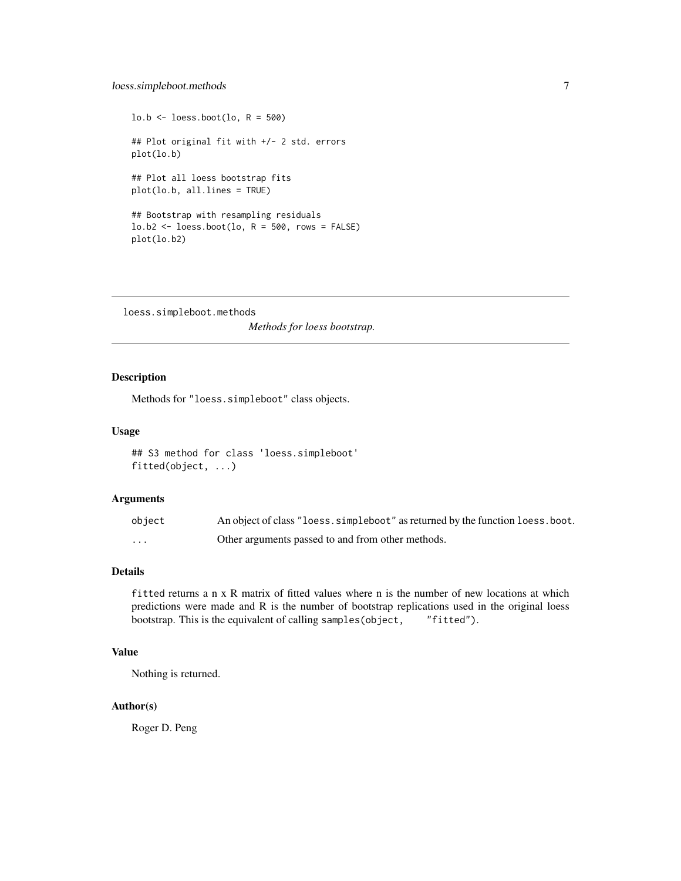```
\text{lo.b} \leftarrow \text{loess.boot}(\text{lo}, \text{R} = 500)## Plot original fit with +/- 2 std. errors
plot(lo.b)
## Plot all loess bootstrap fits
plot(lo.b, all.lines = TRUE)
## Bootstrap with resampling residuals
\text{lo.b2} \leq \text{loess.boot}(\text{lo}, \text{R} = 500, \text{rows} = \text{FALSE})plot(lo.b2)
```
loess.simpleboot.methods *Methods for loess bootstrap.*

# Description

Methods for "loess.simpleboot" class objects.

# Usage

```
## S3 method for class 'loess.simpleboot'
fitted(object, ...)
```
#### Arguments

| object | An object of class "loess. simpleboot" as returned by the function loess. boot. |
|--------|---------------------------------------------------------------------------------|
| .      | Other arguments passed to and from other methods.                               |

# Details

fitted returns a n x R matrix of fitted values where n is the number of new locations at which predictions were made and R is the number of bootstrap replications used in the original loess bootstrap. This is the equivalent of calling samples(object, "fitted").

#### Value

Nothing is returned.

#### Author(s)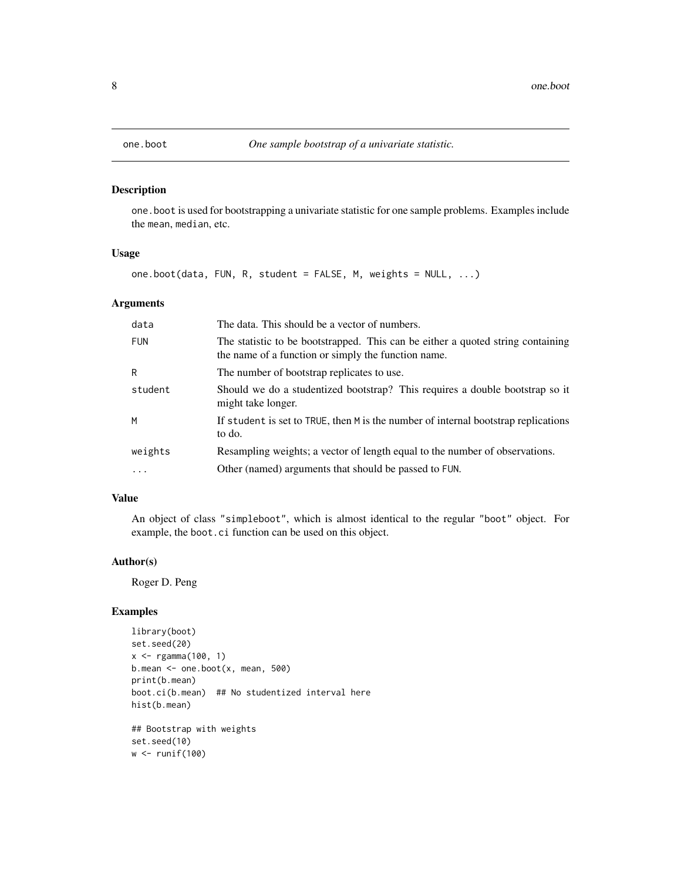<span id="page-7-0"></span>

one.boot is used for bootstrapping a univariate statistic for one sample problems. Examples include the mean, median, etc.

#### Usage

one.boot(data, FUN, R, student = FALSE, M, weights = NULL, ...)

# Arguments

| data       | The data. This should be a vector of numbers.                                                                                          |
|------------|----------------------------------------------------------------------------------------------------------------------------------------|
| <b>FUN</b> | The statistic to be bootstrapped. This can be either a quoted string containing<br>the name of a function or simply the function name. |
| R          | The number of bootstrap replicates to use.                                                                                             |
| student    | Should we do a studentized bootstrap? This requires a double bootstrap so it<br>might take longer.                                     |
| M          | If student is set to TRUE, then M is the number of internal bootstrap replications<br>to do.                                           |
| weights    | Resampling weights; a vector of length equal to the number of observations.                                                            |
| .          | Other (named) arguments that should be passed to FUN.                                                                                  |

## Value

An object of class "simpleboot", which is almost identical to the regular "boot" object. For example, the boot.ci function can be used on this object.

#### Author(s)

Roger D. Peng

```
library(boot)
set.seed(20)
x < - rgamma(100, 1)
b.mean \leq one.boot(x, mean, 500)
print(b.mean)
boot.ci(b.mean) ## No studentized interval here
hist(b.mean)
## Bootstrap with weights
set.seed(10)
w <- runif(100)
```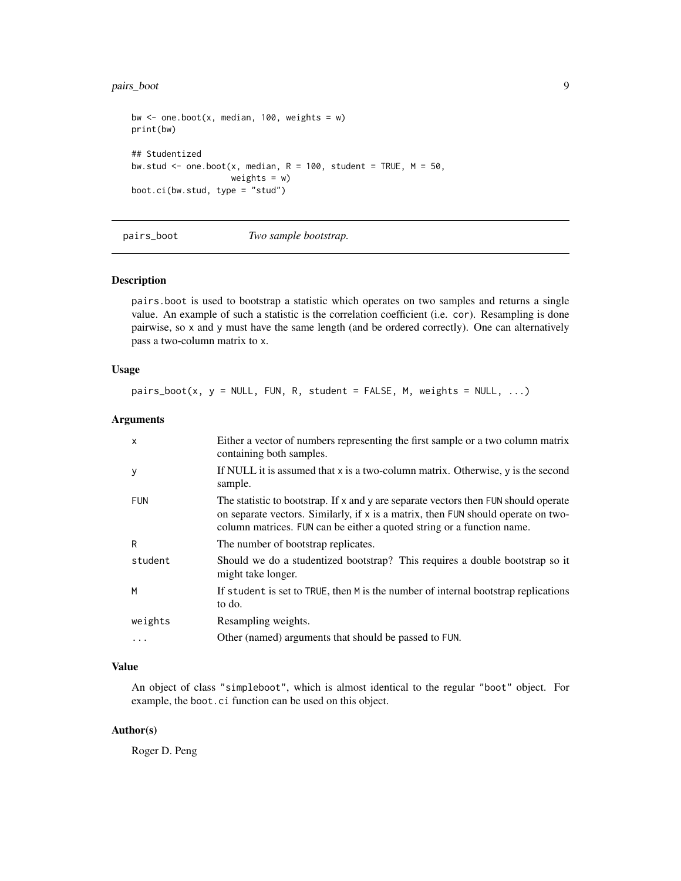# <span id="page-8-0"></span>pairs\_boot 9

```
bw \leq one.boot(x, median, 100, weights = w)
print(bw)
## Studentized
bw.stud \leq one.boot(x, median, R = 100, student = TRUE, M = 50,
                    weights = w)
boot.ci(bw.stud, type = "stud")
```
pairs\_boot *Two sample bootstrap.*

#### Description

pairs.boot is used to bootstrap a statistic which operates on two samples and returns a single value. An example of such a statistic is the correlation coefficient (i.e. cor). Resampling is done pairwise, so x and y must have the same length (and be ordered correctly). One can alternatively pass a two-column matrix to x.

#### Usage

 $pairs\_boot(x, y = NULL, FUN, R, student = FALSE, M, weights = NULL, ...)$ 

#### Arguments

| X          | Either a vector of numbers representing the first sample or a two column matrix<br>containing both samples.                                                                                                                                        |
|------------|----------------------------------------------------------------------------------------------------------------------------------------------------------------------------------------------------------------------------------------------------|
| у          | If NULL it is assumed that $x$ is a two-column matrix. Otherwise, $y$ is the second<br>sample.                                                                                                                                                     |
| <b>FUN</b> | The statistic to bootstrap. If x and y are separate vectors then FUN should operate<br>on separate vectors. Similarly, if x is a matrix, then FUN should operate on two-<br>column matrices. FUN can be either a quoted string or a function name. |
| R          | The number of bootstrap replicates.                                                                                                                                                                                                                |
| student    | Should we do a studentized bootstrap? This requires a double bootstrap so it<br>might take longer.                                                                                                                                                 |
| M          | If student is set to TRUE, then M is the number of internal bootstrap replications<br>to do.                                                                                                                                                       |
| weights    | Resampling weights.                                                                                                                                                                                                                                |
| $\cdots$   | Other (named) arguments that should be passed to FUN.                                                                                                                                                                                              |

# Value

An object of class "simpleboot", which is almost identical to the regular "boot" object. For example, the boot.ci function can be used on this object.

#### Author(s)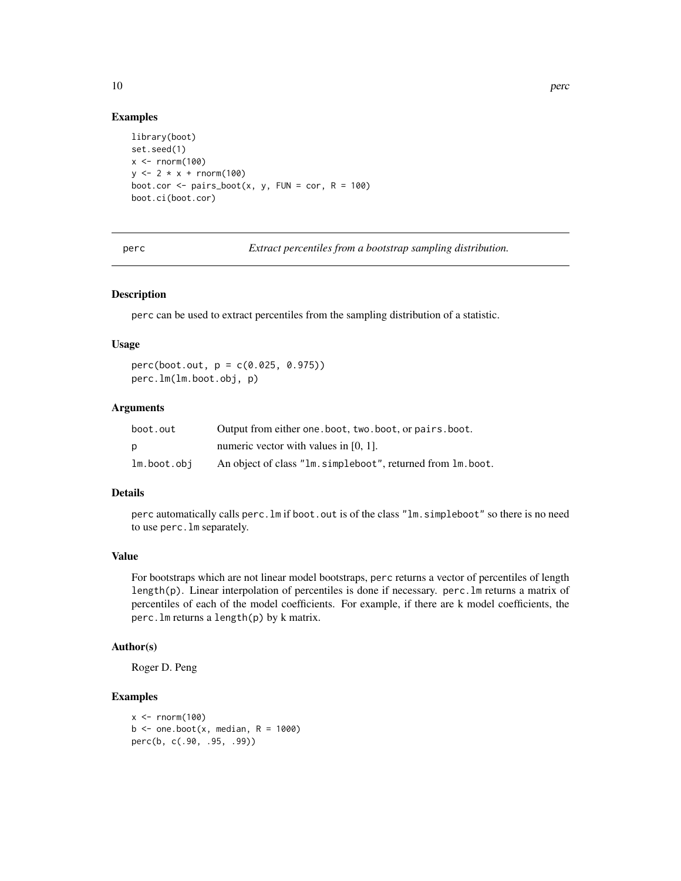#### Examples

```
library(boot)
set.seed(1)
x \le - rnorm(100)y \le -2 \times x + \text{rnorm}(100)boot.cor \leq pairs_boot(x, y, FUN = cor, R = 100)
boot.ci(boot.cor)
```
perc *Extract percentiles from a bootstrap sampling distribution.*

# Description

perc can be used to extract percentiles from the sampling distribution of a statistic.

#### Usage

perc(boot.out, p = c(0.025, 0.975)) perc.lm(lm.boot.obj, p)

#### Arguments

| boot.out    | Output from either one, boot, two, boot, or pairs, boot.     |
|-------------|--------------------------------------------------------------|
| D           | numeric vector with values in $[0, 1]$ .                     |
| lm.boot.obj | An object of class "lm. simpleboot", returned from lm. boot. |

#### Details

perc automatically calls perc.lm if boot.out is of the class "lm.simpleboot" so there is no need to use perc.lm separately.

#### Value

For bootstraps which are not linear model bootstraps, perc returns a vector of percentiles of length length(p). Linear interpolation of percentiles is done if necessary. perc.lm returns a matrix of percentiles of each of the model coefficients. For example, if there are k model coefficients, the perc.lm returns a length(p) by k matrix.

#### Author(s)

Roger D. Peng

```
x < - rnorm(100)
b \le - one.boot(x, median, R = 1000)
perc(b, c(.90, .95, .99))
```
<span id="page-9-0"></span>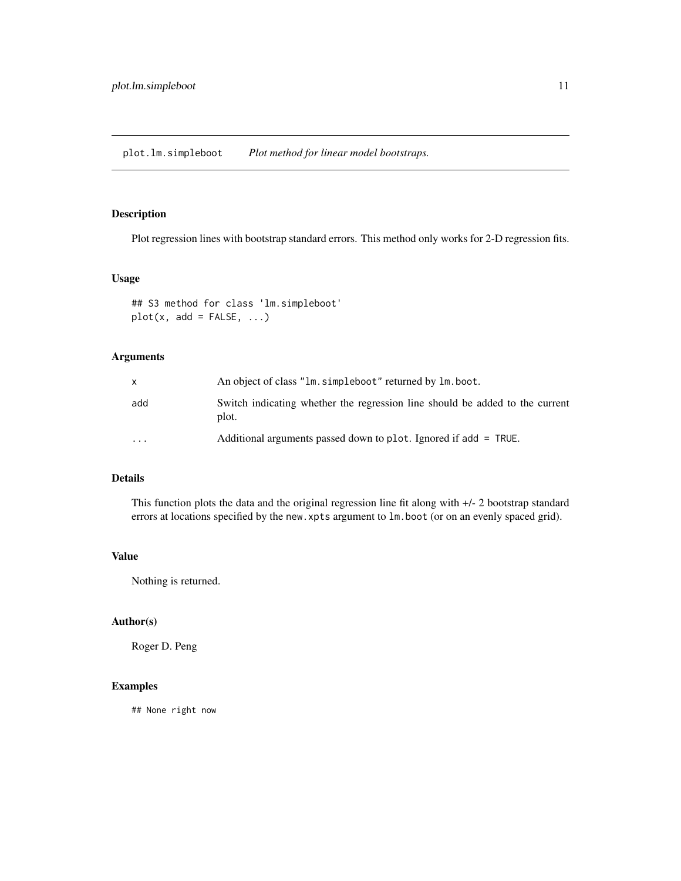<span id="page-10-0"></span>plot.lm.simpleboot *Plot method for linear model bootstraps.*

# Description

Plot regression lines with bootstrap standard errors. This method only works for 2-D regression fits.

#### Usage

```
## S3 method for class 'lm.simpleboot'
plot(x, add = FALSE, ...)
```
# Arguments

| x       | An object of class "lm. simpleboot" returned by lm. boot.                             |
|---------|---------------------------------------------------------------------------------------|
| add     | Switch indicating whether the regression line should be added to the current<br>plot. |
| $\cdot$ | Additional arguments passed down to plot. Ignored if add = TRUE.                      |

# Details

This function plots the data and the original regression line fit along with +/- 2 bootstrap standard errors at locations specified by the new.xpts argument to lm.boot (or on an evenly spaced grid).

# Value

Nothing is returned.

# Author(s)

Roger D. Peng

# Examples

## None right now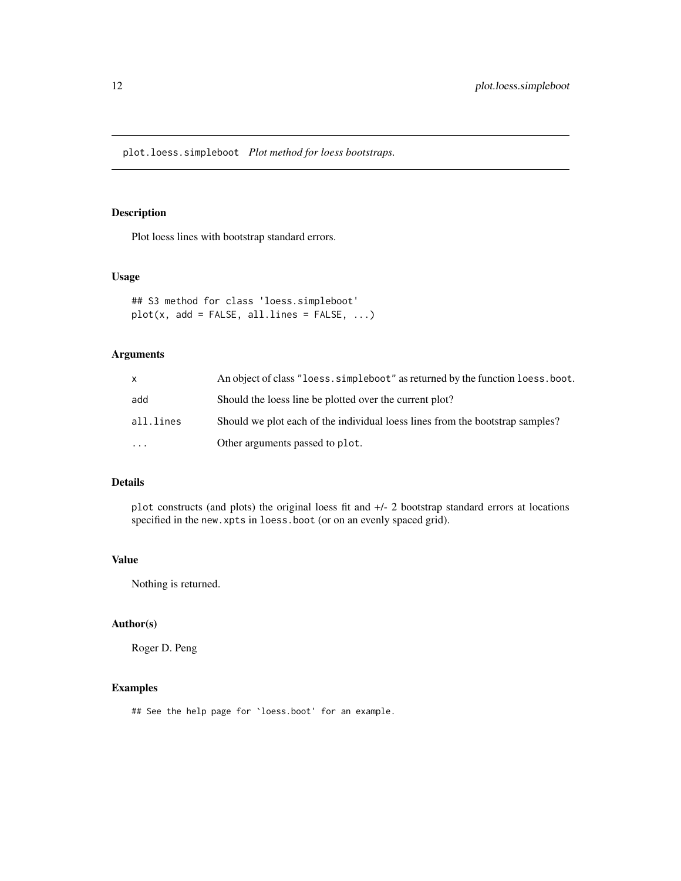<span id="page-11-0"></span>plot.loess.simpleboot *Plot method for loess bootstraps.*

# Description

Plot loess lines with bootstrap standard errors.

### Usage

```
## S3 method for class 'loess.simpleboot'
plot(x, add = FALSE, all-lines = FALSE, ...)
```
# Arguments

| X         | An object of class "loess. simpleboot" as returned by the function loess. boot. |
|-----------|---------------------------------------------------------------------------------|
| add       | Should the loess line be plotted over the current plot?                         |
| all.lines | Should we plot each of the individual loess lines from the bootstrap samples?   |
| $\ddotsc$ | Other arguments passed to plot.                                                 |

# Details

plot constructs (and plots) the original loess fit and +/- 2 bootstrap standard errors at locations specified in the new.xpts in loess.boot (or on an evenly spaced grid).

# Value

Nothing is returned.

# Author(s)

Roger D. Peng

# Examples

## See the help page for `loess.boot' for an example.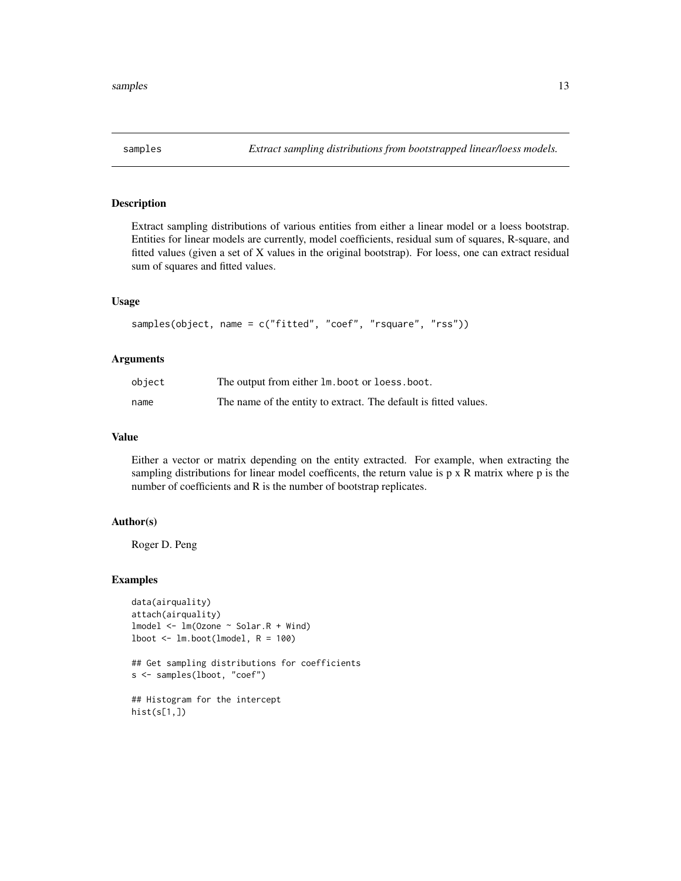<span id="page-12-0"></span>

Extract sampling distributions of various entities from either a linear model or a loess bootstrap. Entities for linear models are currently, model coefficients, residual sum of squares, R-square, and fitted values (given a set of X values in the original bootstrap). For loess, one can extract residual sum of squares and fitted values.

#### Usage

```
samples(object, name = c("fitted", "coef", "rsquare", "rss"))
```
#### Arguments

| object | The output from either $lm$ boot or loess boot.                  |
|--------|------------------------------------------------------------------|
| name   | The name of the entity to extract. The default is fitted values. |

#### Value

Either a vector or matrix depending on the entity extracted. For example, when extracting the sampling distributions for linear model coefficents, the return value is  $p \times R$  matrix where  $p$  is the number of coefficients and R is the number of bootstrap replicates.

#### Author(s)

Roger D. Peng

#### Examples

```
data(airquality)
attach(airquality)
lmodel <- lm(Ozone ~ Solar.R + Wind)
1boot \leftarrow 1m.boot(1model, R = 100)
```
## Get sampling distributions for coefficients s <- samples(lboot, "coef")

## Histogram for the intercept hist(s[1,])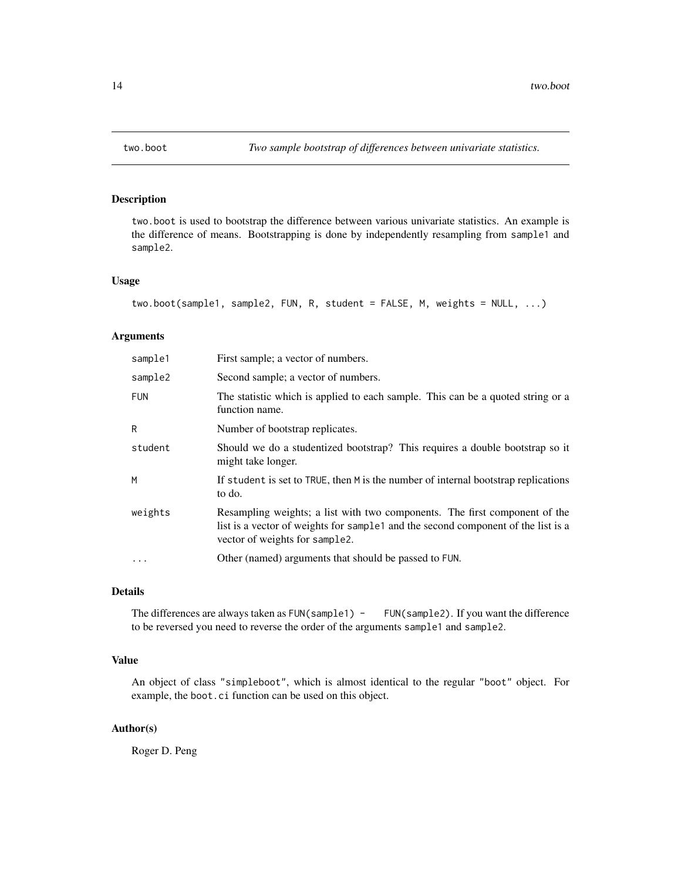<span id="page-13-0"></span>

two.boot is used to bootstrap the difference between various univariate statistics. An example is the difference of means. Bootstrapping is done by independently resampling from sample1 and sample2.

# Usage

```
two.boot(sample1, sample2, FUN, R, student = FALSE, M, weights = NULL, ...)
```
# Arguments

| sample1    | First sample; a vector of numbers.                                                                                                                                                               |
|------------|--------------------------------------------------------------------------------------------------------------------------------------------------------------------------------------------------|
| sample2    | Second sample; a vector of numbers.                                                                                                                                                              |
| <b>FUN</b> | The statistic which is applied to each sample. This can be a quoted string or a<br>function name.                                                                                                |
| R          | Number of bootstrap replicates.                                                                                                                                                                  |
| student    | Should we do a studentized bootstrap? This requires a double bootstrap so it<br>might take longer.                                                                                               |
| M          | If student is set to TRUE, then M is the number of internal bootstrap replications<br>to do.                                                                                                     |
| weights    | Resampling weights; a list with two components. The first component of the<br>list is a vector of weights for sample and the second component of the list is a<br>vector of weights for sample2. |
| $\cdot$    | Other (named) arguments that should be passed to FUN.                                                                                                                                            |
|            |                                                                                                                                                                                                  |

# Details

The differences are always taken as FUN(sample1) - FUN(sample2). If you want the difference to be reversed you need to reverse the order of the arguments sample1 and sample2.

# Value

An object of class "simpleboot", which is almost identical to the regular "boot" object. For example, the boot.ci function can be used on this object.

# Author(s)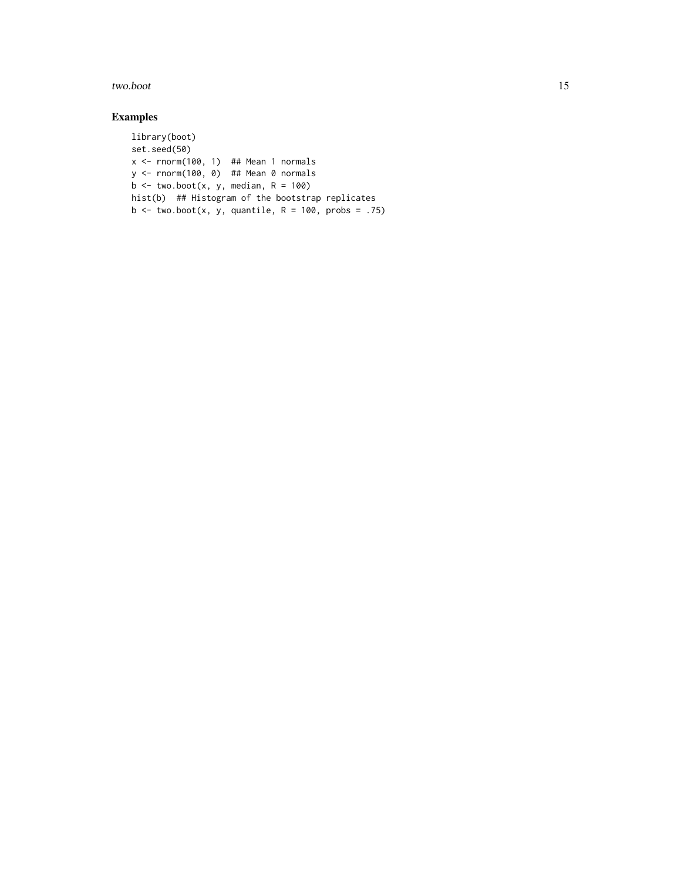#### two.boot 15

```
library(boot)
set.seed(50)
x \leftarrow \text{rnorm}(100, 1) ## Mean 1 normals
y <- rnorm(100, 0) ## Mean 0 normals
b \le two.boot(x, y, median, R = 100)
hist(b) ## Histogram of the bootstrap replicates
b \le two.boot(x, y, quantile, R = 100, probs = .75)
```